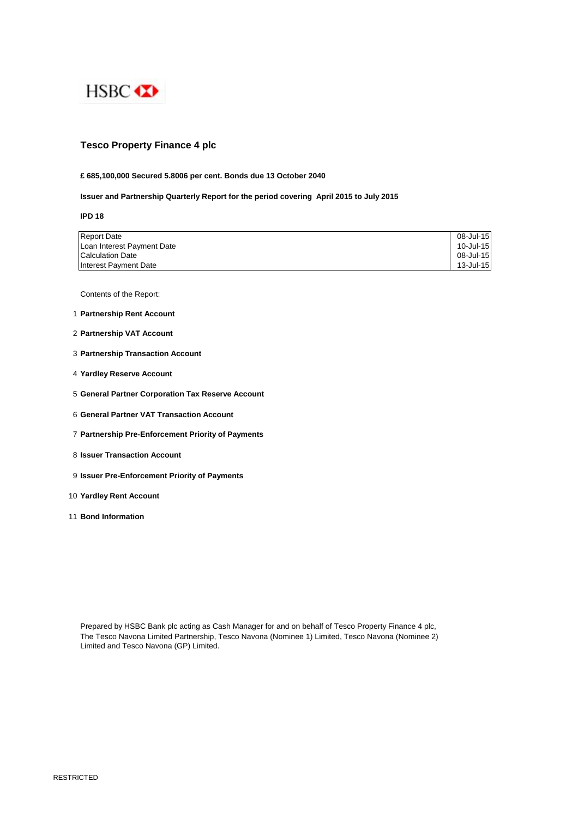

# **Tesco Property Finance 4 plc**

# **£ 685,100,000 Secured 5.8006 per cent. Bonds due 13 October 2040**

# **Issuer and Partnership Quarterly Report for the period covering April 2015 to July 2015**

**IPD 18**

| <b>Report Date</b>         | 08-Jul-15 |
|----------------------------|-----------|
| Loan Interest Payment Date | 10-Jul-15 |
| <b>Calculation Date</b>    | 08-Jul-15 |
| Interest Payment Date      | 13-Jul-15 |

Contents of the Report:

- 1 **Partnership Rent Account**
- 2 **Partnership VAT Account**
- 3 **Partnership Transaction Account**
- 4 **Yardley Reserve Account**
- 5 **General Partner Corporation Tax Reserve Account**
- 6 **General Partner VAT Transaction Account**
- 7 **Partnership Pre-Enforcement Priority of Payments**
- 8 **Issuer Transaction Account**
- 9 **Issuer Pre-Enforcement Priority of Payments**
- 10 **Yardley Rent Account**
- 11 **Bond Information**

Prepared by HSBC Bank plc acting as Cash Manager for and on behalf of Tesco Property Finance 4 plc, The Tesco Navona Limited Partnership, Tesco Navona (Nominee 1) Limited, Tesco Navona (Nominee 2) Limited and Tesco Navona (GP) Limited.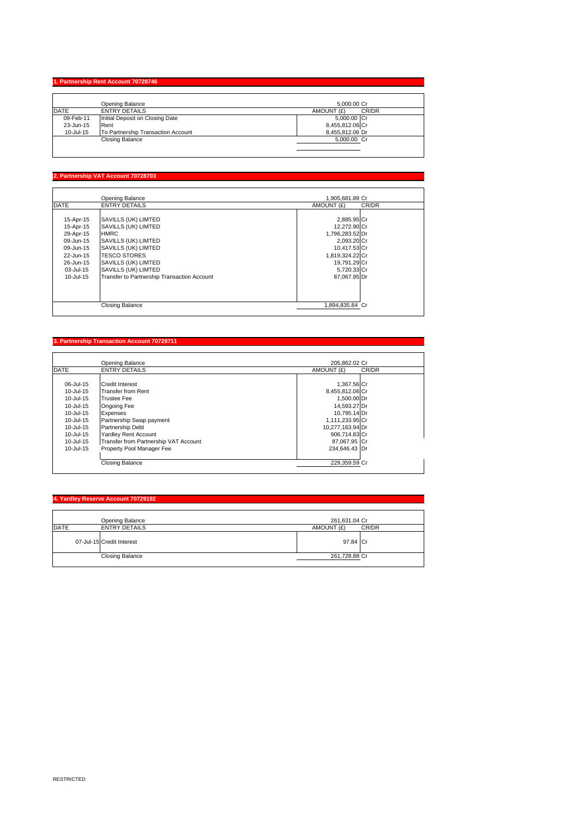### **1. Partnership Rent Account 70**

|             | Opening Balance                    | 5.000.00 Cr         |
|-------------|------------------------------------|---------------------|
| <b>DATE</b> | <b>ENTRY DETAILS</b>               | CR/DR<br>AMOUNT (£) |
| 09-Feb-11   | Initial Deposit on Closing Date    | 5,000.00 Cr         |
| 23-Jun-15   | Rent                               | 8,455,812.06 Cr     |
| 10-Jul-15   | To Partnership Transaction Account | 8.455.812.06 Dr     |
|             | Closing Balance                    | 5,000.00 Cr         |
|             |                                    |                     |

## **2. Partnership VAT Account 70728703**

|             | Opening Balance                             | 1.905.681.89 Cr |       |
|-------------|---------------------------------------------|-----------------|-------|
| <b>DATE</b> | <b>ENTRY DETAILS</b>                        | AMOUNT (£)      | CR/DR |
|             |                                             |                 |       |
| 15-Apr-15   | SAVILLS (UK) LIMTED                         | 2,885.95 Cr     |       |
| 15-Apr-15   | SAVILLS (UK) LIMTED                         | 12,272.90 Cr    |       |
| 29-Apr-15   | <b>HMRC</b>                                 | 1,796,283.52 Dr |       |
| 09-Jun-15   | SAVILLS (UK) LIMTED                         | 2,093.20 Cr     |       |
| 09-Jun-15   | SAVILLS (UK) LIMTED                         | 10,417.53 Cr    |       |
| 22-Jun-15   | <b>TESCO STORES</b>                         | 1,819,324.22 Cr |       |
| 26-Jun-15   | SAVILLS (UK) LIMTED                         | 19,791.29 Cr    |       |
| 03-Jul-15   | SAVILLS (UK) LIMTED                         | 5,720.33 Cr     |       |
| 10-Jul-15   | Transfer to Partnership Transaction Account | 87.067.95 Dr    |       |
|             |                                             |                 |       |
|             | <b>Closing Balance</b>                      | 1,894,835.84 Cr |       |

## **3. Partnership Transaction Account 707287**

|                  | Opening Balance                       | 205.862.02 Cr       |  |
|------------------|---------------------------------------|---------------------|--|
| <b>DATE</b>      | <b>ENTRY DETAILS</b>                  | CR/DR<br>AMOUNT (£) |  |
|                  |                                       |                     |  |
| 06-Jul-15        | <b>Credit Interest</b>                | 1,367.56 Cr         |  |
| 10-Jul-15        | <b>Transfer from Rent</b>             | 8,455,812.06 Cr     |  |
| 10-Jul-15        | <b>Trustee Fee</b>                    | 1,500.00 Dr         |  |
| 10-Jul-15        | <b>Ongoing Fee</b>                    | 14,593.27 Dr        |  |
| 10-Jul-15        | Expenses                              | 10.795.14 Dr        |  |
| 10-Jul-15        | Partnership Swap payment              | 1,111,233.95 Cr     |  |
| 10-Jul-15        | Partnership Debt                      | 10,277,163.94 Dr    |  |
| 10-Jul-15        | <b>Yardley Rent Account</b>           | 906,714.83 Cr       |  |
| 10-Jul-15        | Transfer from Partnership VAT Account | 87,067.95 Cr        |  |
| $10 -$ Jul- $15$ | Property Pool Manager Fee             | 234.646.43 Dr       |  |
|                  | Closing Balance                       | 229.359.59 Cr       |  |

### **4. Yardley Reserve Account 70729192**

|             | Opening Balance           | 261,631.04 Cr |       |
|-------------|---------------------------|---------------|-------|
| <b>DATE</b> | <b>ENTRY DETAILS</b>      | AMOUNT (£)    | CR/DR |
|             | 07-Jul-15 Credit Interest | 97.84 Cr      |       |
|             | <b>Closing Balance</b>    | 261,728.88 Cr |       |
|             |                           |               |       |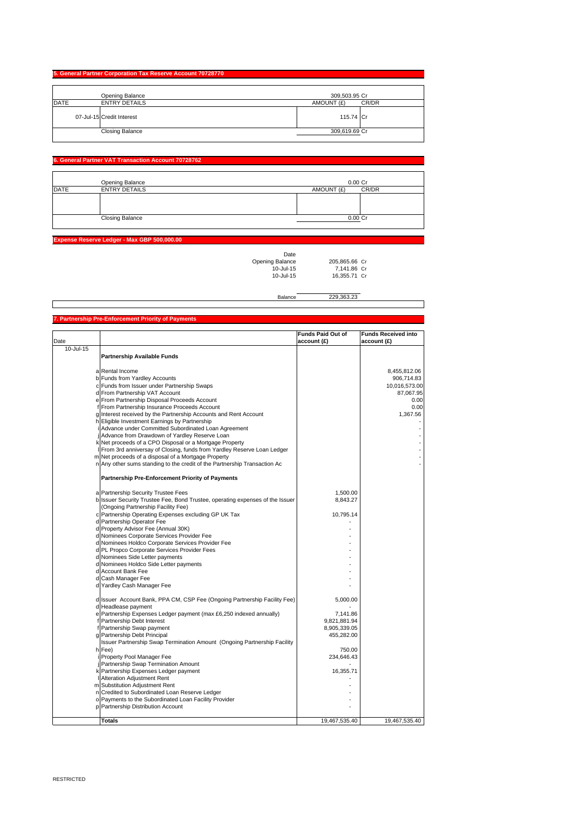|             | 5. General Partner Corporation Tax Reserve Account 70728770 |               |       |
|-------------|-------------------------------------------------------------|---------------|-------|
|             | Opening Balance                                             | 309,503.95 Cr |       |
| <b>DATE</b> | <b>ENTRY DETAILS</b>                                        | AMOUNT (£)    | CR/DR |
|             | 07-Jul-15 Credit Interest                                   | 115.74 Cr     |       |
|             | <b>Closing Balance</b>                                      | 309,619.69 Cr |       |

### **Fal Partner VAT Transaction Account 7072876**

|             | Opening Balance        | $0.00C$ r           |
|-------------|------------------------|---------------------|
| <b>DATE</b> | <b>ENTRY DETAILS</b>   | CR/DR<br>AMOUNT (£) |
|             |                        |                     |
|             |                        |                     |
|             |                        |                     |
|             | <b>Closing Balance</b> | 0.00 Cr             |

#### **Expense Reserve Ledger - Max GBP 500,000.00**

| Date            |               |  |
|-----------------|---------------|--|
| Opening Balance | 205.865.66 Cr |  |
| $10 -$ Jul-15   | 7.141.86 Cr   |  |
| $10 -$ Jul-15   | 16.355.71 Cr  |  |
|                 |               |  |

Balance 229,363.23

#### Date **Funds Paid Out of account (£) Funds Received into account (£)** 10-Jul-15 **Partnership Available Funds** a Rental Income 8,455,812.06<br>
b Funds from Yardley Accounts 8,455,812.06<br>
c Funds from Issuer under Partnership Swaps 8,655,812.06<br>
10,016,573.00 b Funds from Yardley Accounts c Funds from Issuer under Partnership Swaps 10,016,573.00 Experimental Structure of the Count of the Structure of the Structure of the Structure of the Structure of the Structure of the Structure of the Structure of the Structure of the Structure of the Structure of the Structure e From Partnership Disposal Proceeds Account (1999) 1999 - 1999 - 1999 - 1999 - 1999 - 1999 - 1999 - 1999 - 19<br>1999 - 1999 - 1999 - 1999 - 1999 - 1999 - 1999 - 1999 - 1999 - 1999 - 1999 - 1999 - 1999 - 1999 - 1999 - 1999 From Partnership Insurance Proceeds Account 0.00<br>
Interest received by the Partnership Accounts and Rent Account nterest received by the Partnership Accounts and Rent Account h Eligible Investment Earnings by Partnership - i Advance under Committed Subordinated Loan Agreement j Advance from Drawdown of Yardley Reserve Loan - k Net proceeds of a CPO Disposal or a Mortgage Property - From 3rd anniversay of Closing, funds from Yardley Reserve Loan Ledger m Net proceeds of a disposal of a Mortgage Property - n Any other sums standing to the credit of the Partnership Transaction Ac - **Partnership Pre-Enforcement Priority of Payments** a Partnership Security Trustee Fees<br>b Issuer Security Trustee Fee, Bond Trustee, operating expenses of the Issuer Partnership Operating Expenses excluding GP UK Tax 10,795.14 Partnership Operator Fee d Property Advisor Fee (Annual 30K) n Topony Admeet Pee (Almiddi Serv)<br>Nominees Corporate Services Provider Fee Nominees Holdco Corporate Services Provider Fee d PL Propco Corporate Services Provider Fees d Nominees Side Letter payments - d Nominees Holdco Side Letter payments - Account Bank Fee Cash Manager Fee Yardley Cash Manager Fee ssuer Account Bank, PPA CM, CSP Fee (Ongoing Partnership Facility Fee) **5,000.00** d Headlease payment - e Partnership Expenses Ledger payment (max £6,250 indexed annually) 7,141.86 F Partnership Debt Interest experiment of Partnership Debt Interest experiment of the Partnership Debt Interest  $9,821,881.94$ <br>Partnership Swan payment 8,905,339,05 Fartnership Swap payment 8,905,339.05<br>
Partnership Debt Principal and State 19,905,339.05<br>
Ass,282.00 e annoremp onap payment h Issuer Partnership Swap Termination Amount (Ongoing Partnership Facility Fee) 750.00 i Property Pool Manager Fee 234,646.43 j Partnership Swap Termination Amount - Partnership Expenses Ledger payment Alteration Adjustment Rent Substitution Adjustment Rent Credited to Subordinated Loan Reserve Ledger Payments to the Subordinated Loan Facility Provider Partnership Distribution Account (Ongoing Partnership Facility Fee)

**Totals** 19,467,535.40 19,467,535.40

#### **7. Partnership Pre-Enforcement Priority of Payments**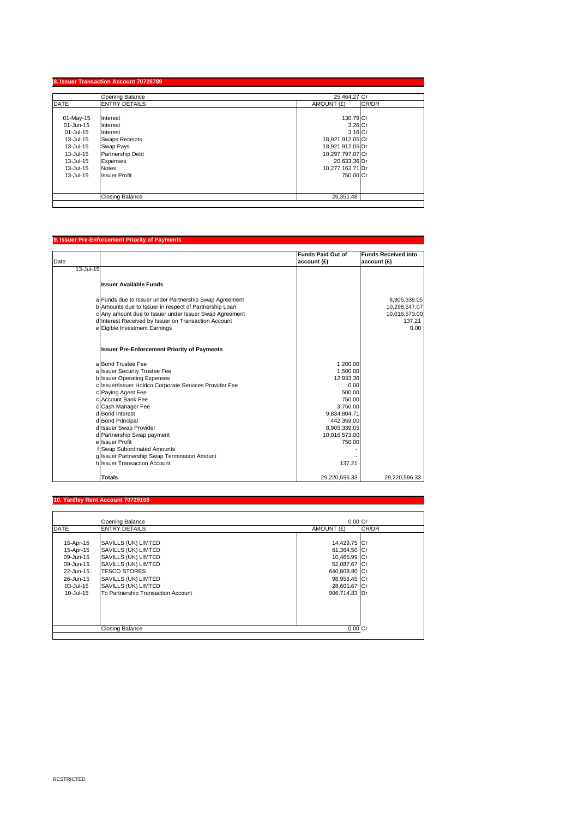|             | Opening Balance        | 25.464.27 Cr        |
|-------------|------------------------|---------------------|
| <b>DATE</b> | <b>ENTRY DETAILS</b>   | CR/DR<br>AMOUNT (£) |
| $01-May-15$ | Interest               | 130.79 Cr           |
| 01-Jun-15   | Interest               | 3.26 Cr             |
| 01-Jul-15   | Interest               | 3.16 Cr             |
| 13-Jul-15   | <b>Swaps Receipts</b>  | 18,921,912.05 Cr    |
| 13-Jul-15   | Swap Pays              | 18,921,912.05 Dr    |
| 13-Jul-15   | Partnership Debt       | 10,297,797.07 Cr    |
| 13-Jul-15   | Expenses               | 20,633.36 Dr        |
| 13-Jul-15   | <b>Notes</b>           | 10,277,163.71 Dr    |
| 13-Jul-15   | <b>Issuer Profit</b>   | 750.00 Cr           |
|             |                        |                     |
|             | <b>Closing Balance</b> | 26.351.48           |

# **9. Issuer Pre-Enforcement Priority of Payments** Date **Funds Paid Out of account (£) Funds Received into account (£)** 13-Jul-15 **Issuer Available Funds** a Funds due to Issuer under Partnership Swap Agreement<br>
b Amounts due to Issuer in respect of Partnership Loan<br>
c Any amount due to Issuer on Transaction Account<br>
d Interest Received by Issuer on Transaction Account<br>
e Eig **Issuer Pre-Enforcement Priority of Payments** a Bond Trustee Fee 1,200.00<br>a Issuer Security Trustee Fee 1,500.00 a Issuer Security Trustee Fee 1,500.00<br>
a Issuer Security Trustee Fee 1,500.00<br>
Issuer Operating Expenses 12,933.36<br>
c Paying Agent Fee 1,000<br>
c Account Bank Fee 1,000<br>
c Account Bank Fee 1,750.00 b Issuer Operating Expenses 12,933.36 c Issuer/Issuer Holdco Corporate Services Provider Fee 0.00 c Paying Agent Fee 500.00 c Account Bank Fee 750.00 Cash Manager Fee 3,750.00<br>
Bond Interest 9,834,804.71<br>
Bond Principal 442,359.00 d Bond Interest 9,834,804.71 d Bond Principal 442,359.00 d Issuer Swap Provider and the Issuer Swap Provider and the Issuer Swap Provider and the Issuer Swap Provider <br>Partnership Swap payment and the Islamic Swap of the Islamic Swap of the Islamic Swap of the Islamic Swap Provi d Partnership Swap payment 10,016,573.00<br>| Saudi Partnership Swap payment 10,016,573.00<br>| ISsuer Profit 150.00 e Issuer Profit f Swap Subordinated Amounts - g Issuer Partnership Swap Termination Amount h Issuer Transaction Account 137.21 **Totals** 29,220,596.33 29,220,596.33

### **Yardley Rent Account 70**

|             | Opening Balance                    | $0.00$ Cr           |  |
|-------------|------------------------------------|---------------------|--|
| <b>DATE</b> | <b>ENTRY DETAILS</b>               | CR/DR<br>AMOUNT (£) |  |
|             |                                    |                     |  |
| 15-Apr-15   | SAVILLS (UK) LIMTED                | 14,429.75 Cr        |  |
| 15-Apr-15   | SAVILLS (UK) LIMTED                | 61,364.50 Cr        |  |
| 09-Jun-15   | SAVILLS (UK) LIMTED                | 10,465.99 Cr        |  |
| 09-Jun-15   | SAVILLS (UK) LIMTED                | 52,087.67 Cr        |  |
| 22-Jun-15   | <b>TESCO STORES</b>                | 640,808.80 Cr       |  |
| 26-Jun-15   | SAVILLS (UK) LIMTED                | 98,956.45 Cr        |  |
| 03-Jul-15   | SAVILLS (UK) LIMTED                | 28,601.67 Cr        |  |
| 10-Jul-15   | To Partnership Transaction Account | 906.714.83 Dr       |  |
|             |                                    |                     |  |
|             |                                    |                     |  |
|             |                                    |                     |  |
|             | <b>Closing Balance</b>             | $0.00$ Cr           |  |